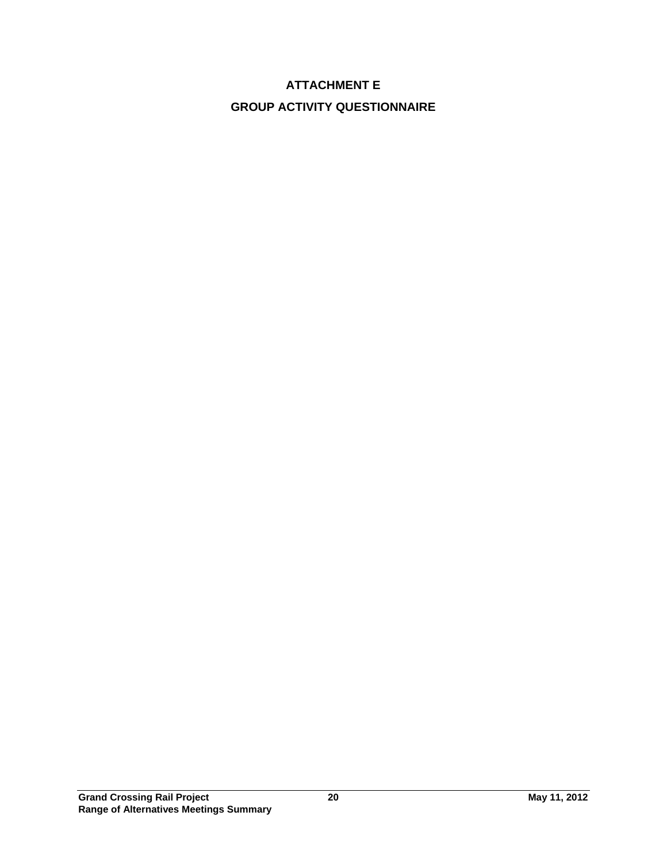# **ATTACHMENT E GROUP ACTIVITY QUESTIONNAIRE**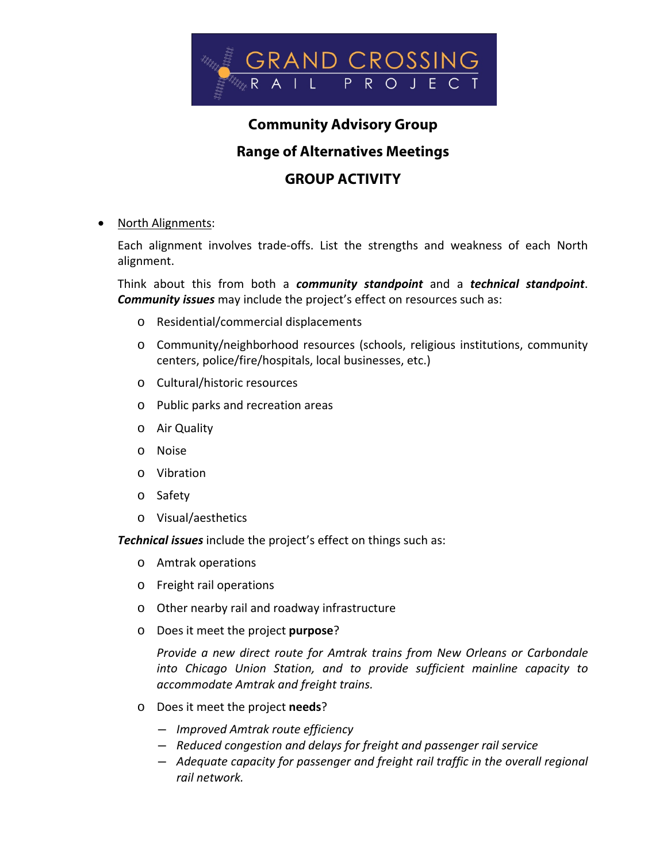

## **Community Advisory Group**

#### **Range of Alternatives Meetings**

### **GROUP ACTIVITY**

#### North Alignments:

Each alignment involves trade‐offs. List the strengths and weakness of each North alignment.

Think about this from both a *community standpoint* and a *technical standpoint*. *Community issues* may include the project's effect on resources such as:

- o Residential/commercial displacements
- o Community/neighborhood resources (schools, religious institutions, community centers, police/fire/hospitals, local businesses, etc.)
- o Cultural/historic resources
- o Public parks and recreation areas
- o Air Quality
- o Noise
- o Vibration
- o Safety
- o Visual/aesthetics

*Technical issues* include the project's effect on things such as:

- o Amtrak operations
- o Freight rail operations
- o Other nearby rail and roadway infrastructure
- o Does it meet the project **purpose**?

*Provide a new direct route for Amtrak trains from New Orleans or Carbondale into Chicago Union Station, and to provide sufficient mainline capacity to accommodate Amtrak and freight trains.*

- o Does it meet the project **needs**?
	- ― *Improved Amtrak route efficiency*
	- ― *Reduced congestion and delays for freight and passenger rail service*
	- ― *Adequate capacity for passenger and freight rail traffic in the overall regional rail network.*